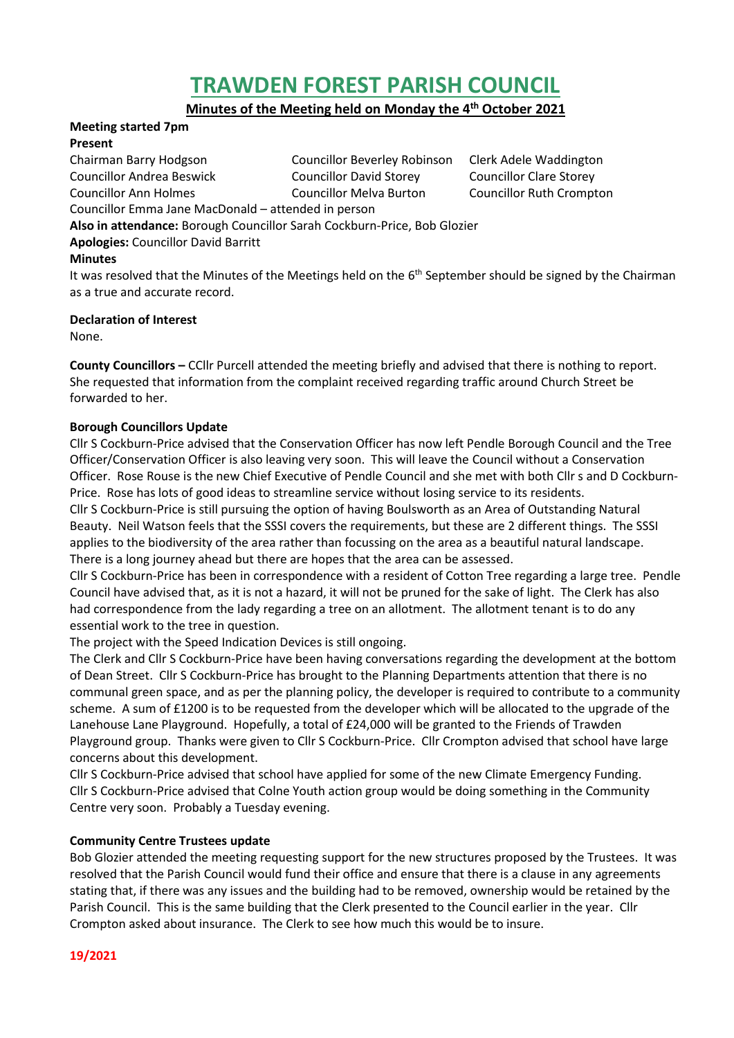# **TRAWDEN FOREST PARISH COUNCIL**

**Minutes of the Meeting held on Monday the 4 th October 2021**

## **Meeting started 7pm**

#### **Present**

Chairman Barry Hodgson Councillor Beverley Robinson Clerk Adele Waddington Councillor Andrea Beswick Councillor David Storey Councillor Clare Storey Councillor Ann Holmes Councillor Melva Burton Councillor Ruth Crompton

Councillor Emma Jane MacDonald – attended in person

**Also in attendance:** Borough Councillor Sarah Cockburn-Price, Bob Glozier

**Apologies:** Councillor David Barritt

## **Minutes**

It was resolved that the Minutes of the Meetings held on the 6<sup>th</sup> September should be signed by the Chairman as a true and accurate record.

## **Declaration of Interest**

None.

**County Councillors –** CCllr Purcell attended the meeting briefly and advised that there is nothing to report. She requested that information from the complaint received regarding traffic around Church Street be forwarded to her.

## **Borough Councillors Update**

Cllr S Cockburn-Price advised that the Conservation Officer has now left Pendle Borough Council and the Tree Officer/Conservation Officer is also leaving very soon. This will leave the Council without a Conservation Officer. Rose Rouse is the new Chief Executive of Pendle Council and she met with both Cllr s and D Cockburn-Price. Rose has lots of good ideas to streamline service without losing service to its residents.

Cllr S Cockburn-Price is still pursuing the option of having Boulsworth as an Area of Outstanding Natural Beauty. Neil Watson feels that the SSSI covers the requirements, but these are 2 different things. The SSSI applies to the biodiversity of the area rather than focussing on the area as a beautiful natural landscape. There is a long journey ahead but there are hopes that the area can be assessed.

Cllr S Cockburn-Price has been in correspondence with a resident of Cotton Tree regarding a large tree. Pendle Council have advised that, as it is not a hazard, it will not be pruned for the sake of light. The Clerk has also had correspondence from the lady regarding a tree on an allotment. The allotment tenant is to do any essential work to the tree in question.

The project with the Speed Indication Devices is still ongoing.

The Clerk and Cllr S Cockburn-Price have been having conversations regarding the development at the bottom of Dean Street. Cllr S Cockburn-Price has brought to the Planning Departments attention that there is no communal green space, and as per the planning policy, the developer is required to contribute to a community scheme. A sum of £1200 is to be requested from the developer which will be allocated to the upgrade of the Lanehouse Lane Playground. Hopefully, a total of £24,000 will be granted to the Friends of Trawden Playground group. Thanks were given to Cllr S Cockburn-Price. Cllr Crompton advised that school have large concerns about this development.

Cllr S Cockburn-Price advised that school have applied for some of the new Climate Emergency Funding. Cllr S Cockburn-Price advised that Colne Youth action group would be doing something in the Community Centre very soon. Probably a Tuesday evening.

## **Community Centre Trustees update**

Bob Glozier attended the meeting requesting support for the new structures proposed by the Trustees. It was resolved that the Parish Council would fund their office and ensure that there is a clause in any agreements stating that, if there was any issues and the building had to be removed, ownership would be retained by the Parish Council. This is the same building that the Clerk presented to the Council earlier in the year. Cllr Crompton asked about insurance. The Clerk to see how much this would be to insure.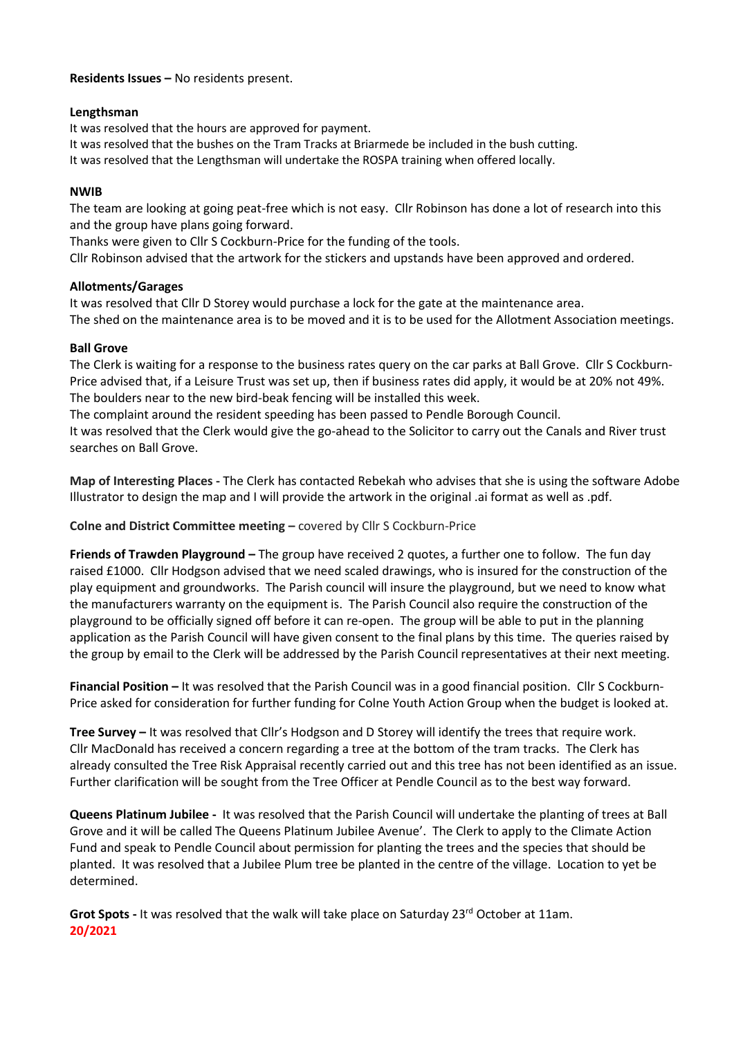#### **Residents Issues –** No residents present.

#### **Lengthsman**

It was resolved that the hours are approved for payment.

It was resolved that the bushes on the Tram Tracks at Briarmede be included in the bush cutting.

It was resolved that the Lengthsman will undertake the ROSPA training when offered locally.

## **NWIB**

The team are looking at going peat-free which is not easy. Cllr Robinson has done a lot of research into this and the group have plans going forward.

Thanks were given to Cllr S Cockburn-Price for the funding of the tools.

Cllr Robinson advised that the artwork for the stickers and upstands have been approved and ordered.

## **Allotments/Garages**

It was resolved that Cllr D Storey would purchase a lock for the gate at the maintenance area. The shed on the maintenance area is to be moved and it is to be used for the Allotment Association meetings.

## **Ball Grove**

The Clerk is waiting for a response to the business rates query on the car parks at Ball Grove. Cllr S Cockburn-Price advised that, if a Leisure Trust was set up, then if business rates did apply, it would be at 20% not 49%. The boulders near to the new bird-beak fencing will be installed this week.

The complaint around the resident speeding has been passed to Pendle Borough Council.

It was resolved that the Clerk would give the go-ahead to the Solicitor to carry out the Canals and River trust searches on Ball Grove.

**Map of Interesting Places -** The Clerk has contacted Rebekah who advises that she is using the software Adobe Illustrator to design the map and I will provide the artwork in the original .ai format as well as .pdf.

**Colne and District Committee meeting –** covered by Cllr S Cockburn-Price

**Friends of Trawden Playground –** The group have received 2 quotes, a further one to follow. The fun day raised £1000. Cllr Hodgson advised that we need scaled drawings, who is insured for the construction of the play equipment and groundworks. The Parish council will insure the playground, but we need to know what the manufacturers warranty on the equipment is. The Parish Council also require the construction of the playground to be officially signed off before it can re-open. The group will be able to put in the planning application as the Parish Council will have given consent to the final plans by this time. The queries raised by the group by email to the Clerk will be addressed by the Parish Council representatives at their next meeting.

**Financial Position –** It was resolved that the Parish Council was in a good financial position. Cllr S Cockburn-Price asked for consideration for further funding for Colne Youth Action Group when the budget is looked at.

**Tree Survey –** It was resolved that Cllr's Hodgson and D Storey will identify the trees that require work. Cllr MacDonald has received a concern regarding a tree at the bottom of the tram tracks. The Clerk has already consulted the Tree Risk Appraisal recently carried out and this tree has not been identified as an issue. Further clarification will be sought from the Tree Officer at Pendle Council as to the best way forward.

**Queens Platinum Jubilee -** It was resolved that the Parish Council will undertake the planting of trees at Ball Grove and it will be called The Queens Platinum Jubilee Avenue'. The Clerk to apply to the Climate Action Fund and speak to Pendle Council about permission for planting the trees and the species that should be planted. It was resolved that a Jubilee Plum tree be planted in the centre of the village. Location to yet be determined.

Grot Spots - It was resolved that the walk will take place on Saturday 23<sup>rd</sup> October at 11am. **20/2021**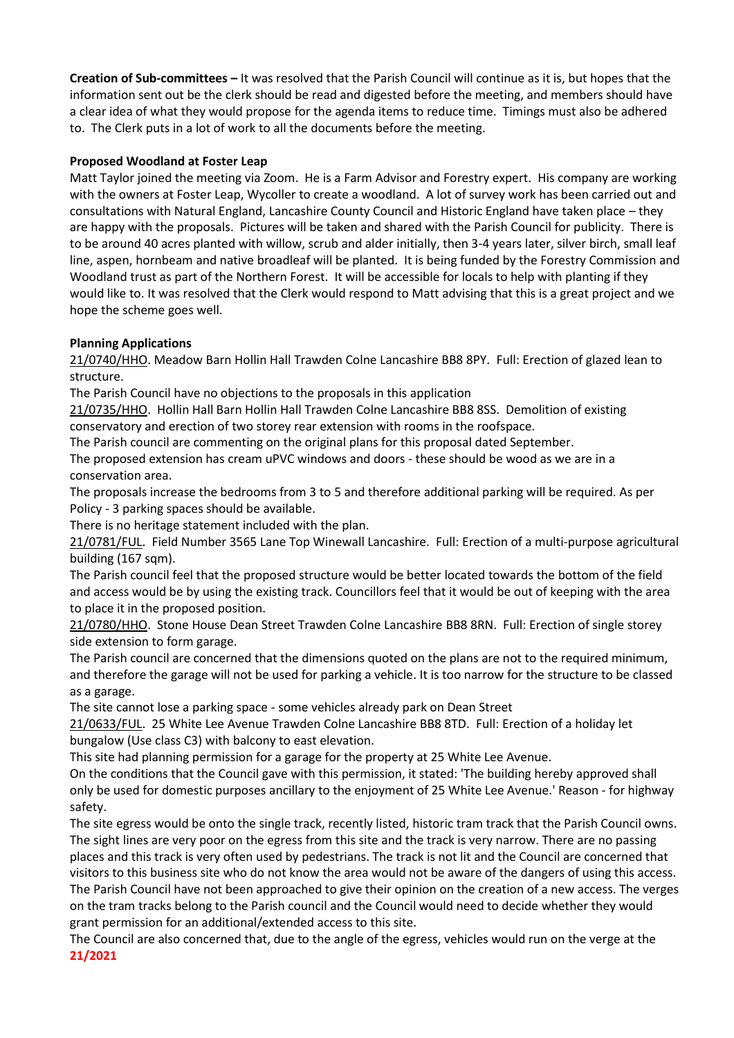**Creation of Sub-committees –** It was resolved that the Parish Council will continue as it is, but hopes that the information sent out be the clerk should be read and digested before the meeting, and members should have a clear idea of what they would propose for the agenda items to reduce time. Timings must also be adhered to. The Clerk puts in a lot of work to all the documents before the meeting.

## **Proposed Woodland at Foster Leap**

Matt Taylor joined the meeting via Zoom. He is a Farm Advisor and Forestry expert. His company are working with the owners at Foster Leap, Wycoller to create a woodland. A lot of survey work has been carried out and consultations with Natural England, Lancashire County Council and Historic England have taken place – they are happy with the proposals. Pictures will be taken and shared with the Parish Council for publicity. There is to be around 40 acres planted with willow, scrub and alder initially, then 3-4 years later, silver birch, small leaf line, aspen, hornbeam and native broadleaf will be planted. It is being funded by the Forestry Commission and Woodland trust as part of the Northern Forest. It will be accessible for locals to help with planting if they would like to. It was resolved that the Clerk would respond to Matt advising that this is a great project and we hope the scheme goes well.

## **Planning Applications**

21/0740/HHO. Meadow Barn Hollin Hall Trawden Colne Lancashire BB8 8PY. Full: Erection of glazed lean to structure.

The Parish Council have no objections to the proposals in this application

21/0735/HHO. Hollin Hall Barn Hollin Hall Trawden Colne Lancashire BB8 8SS. Demolition of existing conservatory and erection of two storey rear extension with rooms in the roofspace.

The Parish council are commenting on the original plans for this proposal dated September.

The proposed extension has cream uPVC windows and doors - these should be wood as we are in a conservation area.

The proposals increase the bedrooms from 3 to 5 and therefore additional parking will be required. As per Policy - 3 parking spaces should be available.

There is no heritage statement included with the plan.

21/0781/FUL. Field Number 3565 Lane Top Winewall Lancashire. Full: Erection of a multi-purpose agricultural building (167 sqm).

The Parish council feel that the proposed structure would be better located towards the bottom of the field and access would be by using the existing track. Councillors feel that it would be out of keeping with the area to place it in the proposed position.

21/0780/HHO. Stone House Dean Street Trawden Colne Lancashire BB8 8RN. Full: Erection of single storey side extension to form garage.

The Parish council are concerned that the dimensions quoted on the plans are not to the required minimum, and therefore the garage will not be used for parking a vehicle. It is too narrow for the structure to be classed as a garage.

The site cannot lose a parking space - some vehicles already park on Dean Street

21/0633/FUL. 25 White Lee Avenue Trawden Colne Lancashire BB8 8TD. Full: Erection of a holiday let bungalow (Use class C3) with balcony to east elevation.

This site had planning permission for a garage for the property at 25 White Lee Avenue.

On the conditions that the Council gave with this permission, it stated: 'The building hereby approved shall only be used for domestic purposes ancillary to the enjoyment of 25 White Lee Avenue.' Reason - for highway safety.

The site egress would be onto the single track, recently listed, historic tram track that the Parish Council owns. The sight lines are very poor on the egress from this site and the track is very narrow. There are no passing places and this track is very often used by pedestrians. The track is not lit and the Council are concerned that visitors to this business site who do not know the area would not be aware of the dangers of using this access. The Parish Council have not been approached to give their opinion on the creation of a new access. The verges on the tram tracks belong to the Parish council and the Council would need to decide whether they would grant permission for an additional/extended access to this site.

The Council are also concerned that, due to the angle of the egress, vehicles would run on the verge at the **21/2021**